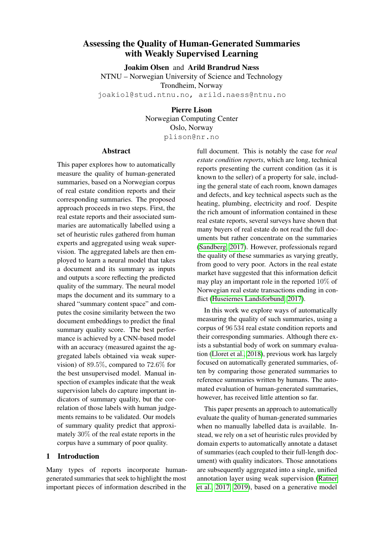# Assessing the Quality of Human-Generated Summaries with Weakly Supervised Learning

Joakim Olsen and Arild Brandrud Næss NTNU – Norwegian University of Science and Technology Trondheim, Norway joakiol@stud.ntnu.no, arild.naess@ntnu.no

> Pierre Lison Norwegian Computing Center Oslo, Norway plison@nr.no

# Abstract

This paper explores how to automatically measure the quality of human-generated summaries, based on a Norwegian corpus of real estate condition reports and their corresponding summaries. The proposed approach proceeds in two steps. First, the real estate reports and their associated summaries are automatically labelled using a set of heuristic rules gathered from human experts and aggregated using weak supervision. The aggregated labels are then employed to learn a neural model that takes a document and its summary as inputs and outputs a score reflecting the predicted quality of the summary. The neural model maps the document and its summary to a shared "summary content space" and computes the cosine similarity between the two document embeddings to predict the final summary quality score. The best performance is achieved by a CNN-based model with an accuracy (measured against the aggregated labels obtained via weak supervision) of 89.5%, compared to 72.6% for the best unsupervised model. Manual inspection of examples indicate that the weak supervision labels do capture important indicators of summary quality, but the correlation of those labels with human judgements remains to be validated. Our models of summary quality predict that approximately 30% of the real estate reports in the corpus have a summary of poor quality.

# 1 Introduction

Many types of reports incorporate humangenerated summaries that seek to highlight the most important pieces of information described in the full document. This is notably the case for *real estate condition reports*, which are long, technical reports presenting the current condition (as it is known to the seller) of a property for sale, including the general state of each room, known damages and defects, and key technical aspects such as the heating, plumbing, electricity and roof. Despite the rich amount of information contained in these real estate reports, several surveys have shown that many buyers of real estate do not read the full documents but rather concentrate on the summaries [\(Sandberg, 2017\)](#page-10-0). However, professionals regard the quality of these summaries as varying greatly, from good to very poor. Actors in the real estate market have suggested that this information deficit may play an important role in the reported 10% of Norwegian real estate transactions ending in conflict [\(Huseiernes Landsforbund, 2017\)](#page-9-0).

In this work we explore ways of automatically measuring the quality of such summaries, using a corpus of 96 534 real estate condition reports and their corresponding summaries. Although there exists a substantial body of work on summary evaluation [\(Lloret et al., 2018\)](#page-9-1), previous work has largely focused on automatically generated summaries, often by comparing those generated summaries to reference summaries written by humans. The automated evaluation of human-generated summaries, however, has received little attention so far.

This paper presents an approach to automatically evaluate the quality of human-generated summaries when no manually labelled data is available. Instead, we rely on a set of heuristic rules provided by domain experts to automatically annotate a dataset of summaries (each coupled to their full-length document) with quality indicators. Those annotations are subsequently aggregated into a single, unified annotation layer using weak supervision [\(Ratner](#page-9-2) [et al., 2017,](#page-9-2) [2019\)](#page-9-3), based on a generative model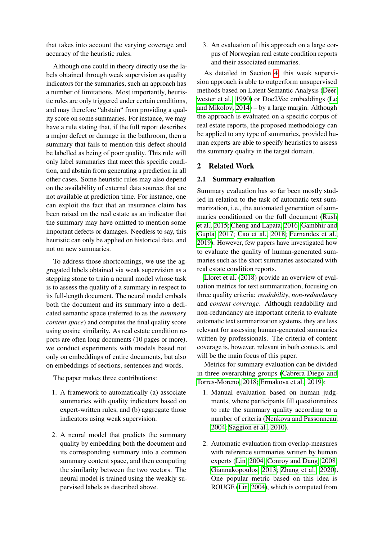that takes into account the varying coverage and accuracy of the heuristic rules.

Although one could in theory directly use the labels obtained through weak supervision as quality indicators for the summaries, such an approach has a number of limitations. Most importantly, heuristic rules are only triggered under certain conditions, and may therefore "abstain" from providing a quality score on some summaries. For instance, we may have a rule stating that, if the full report describes a major defect or damage in the bathroom, then a summary that fails to mention this defect should be labelled as being of poor quality. This rule will only label summaries that meet this specific condition, and abstain from generating a prediction in all other cases. Some heuristic rules may also depend on the availability of external data sources that are not available at prediction time. For instance, one can exploit the fact that an insurance claim has been raised on the real estate as an indicator that the summary may have omitted to mention some important defects or damages. Needless to say, this heuristic can only be applied on historical data, and not on new summaries.

To address those shortcomings, we use the aggregated labels obtained via weak supervision as a stepping stone to train a neural model whose task is to assess the quality of a summary in respect to its full-length document. The neural model embeds both the document and its summary into a dedicated semantic space (referred to as the *summary content space*) and computes the final quality score using cosine similarity. As real estate condition reports are often long documents (10 pages or more), we conduct experiments with models based not only on embeddings of entire documents, but also on embeddings of sections, sentences and words.

The paper makes three contributions:

- 1. A framework to automatically (a) associate summaries with quality indicators based on expert-written rules, and (b) aggregate those indicators using weak supervision.
- 2. A neural model that predicts the summary quality by embedding both the document and its corresponding summary into a common summary content space, and then computing the similarity between the two vectors. The neural model is trained using the weakly supervised labels as described above.

3. An evaluation of this approach on a large corpus of Norwegian real estate condition reports and their associated summaries.

As detailed in Section [4,](#page-5-0) this weak supervision approach is able to outperform unsupervised methods based on Latent Semantic Analysis [\(Deer](#page-8-0)[wester et al., 1990\)](#page-8-0) or Doc2Vec embeddings [\(Le](#page-9-4) [and Mikolov, 2014\)](#page-9-4) – by a large margin. Although the approach is evaluated on a specific corpus of real estate reports, the proposed methodology can be applied to any type of summaries, provided human experts are able to specify heuristics to assess the summary quality in the target domain.

## 2 Related Work

## 2.1 Summary evaluation

Summary evaluation has so far been mostly studied in relation to the task of automatic text summarization, i.e., the automated generation of summaries conditioned on the full document [\(Rush](#page-10-1) [et al., 2015;](#page-10-1) [Cheng and Lapata, 2016;](#page-8-1) [Gambhir and](#page-9-5) [Gupta, 2017;](#page-9-5) [Cao et al., 2018;](#page-8-2) [Fernandes et al.,](#page-9-6) [2019\)](#page-9-6). However, few papers have investigated how to evaluate the quality of human-generated summaries such as the short summaries associated with real estate condition reports.

[Lloret et al.](#page-9-1) [\(2018\)](#page-9-1) provide an overview of evaluation metrics for text summarization, focusing on three quality criteria: *readability*, *non-redundancy* and *content coverage*. Although readability and non-redundancy are important criteria to evaluate automatic text summarization systems, they are less relevant for assessing human-generated summaries written by professionals. The criteria of content coverage is, however, relevant in both contexts, and will be the main focus of this paper.

Metrics for summary evaluation can be divided in three overarching groups [\(Cabrera-Diego and](#page-8-3) [Torres-Moreno, 2018;](#page-8-3) [Ermakova et al., 2019\)](#page-9-7):

- 1. Manual evaluation based on human judgments, where participants fill questionnaires to rate the summary quality according to a number of criteria [\(Nenkova and Passonneau,](#page-9-8) [2004;](#page-9-8) [Saggion et al., 2010\)](#page-10-2).
- 2. Automatic evaluation from overlap-measures with reference summaries written by human experts [\(Lin, 2004;](#page-9-9) [Conroy and Dang, 2008;](#page-8-4) [Giannakopoulos, 2013;](#page-9-10) [Zhang et al., 2020\)](#page-10-3). One popular metric based on this idea is ROUGE [\(Lin, 2004\)](#page-9-9), which is computed from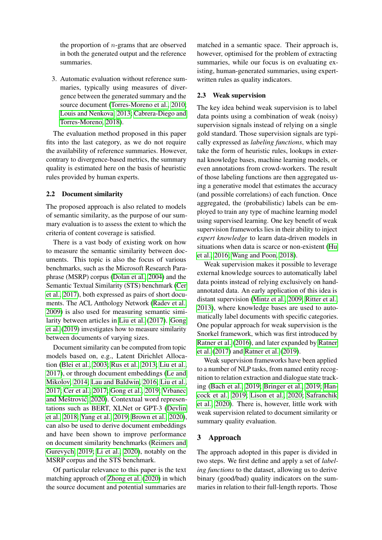the proportion of  $n$ -grams that are observed in both the generated output and the reference summaries.

3. Automatic evaluation without reference summaries, typically using measures of divergence between the generated summary and the source document [\(Torres-Moreno et al., 2010;](#page-10-4) [Louis and Nenkova, 2013;](#page-9-11) [Cabrera-Diego and](#page-8-3) [Torres-Moreno, 2018\)](#page-8-3).

The evaluation method proposed in this paper fits into the last category, as we do not require the availability of reference summaries. However, contrary to divergence-based metrics, the summary quality is estimated here on the basis of heuristic rules provided by human experts.

# 2.2 Document similarity

The proposed approach is also related to models of semantic similarity, as the purpose of our summary evaluation is to assess the extent to which the criteria of content coverage is satisfied.

There is a vast body of existing work on how to measure the semantic similarity between documents. This topic is also the focus of various benchmarks, such as the Microsoft Research Paraphrase (MSRP) corpus [\(Dolan et al., 2004\)](#page-8-5) and the Semantic Textual Similarity (STS) benchmark [\(Cer](#page-8-6) [et al., 2017\)](#page-8-6), both expressed as pairs of short documents. The ACL Anthology Network [\(Radev et al.,](#page-9-12) [2009\)](#page-9-12) is also used for measuring semantic similarity between articles in [Liu et al.](#page-9-13) [\(2017\)](#page-9-13). [Gong](#page-9-14) [et al.](#page-9-14) [\(2019\)](#page-9-14) investigates how to measure similarity between documents of varying sizes.

Document similarity can be computed from topic models based on, e.g., Latent Dirichlet Allocation [\(Blei et al., 2003;](#page-8-7) [Rus et al., 2013;](#page-10-5) [Liu et al.,](#page-9-13) [2017\)](#page-9-13), or through document embeddings [\(Le and](#page-9-4) [Mikolov, 2014;](#page-9-4) [Lau and Baldwin, 2016;](#page-9-15) [Liu et al.,](#page-9-13) [2017;](#page-9-13) [Cer et al., 2017;](#page-8-6) [Gong et al., 2019;](#page-9-14) [Vrbanec](#page-10-6) and Meštrović, [2020\)](#page-10-6). Contextual word representations such as BERT, XLNet or GPT-3 [\(Devlin](#page-8-8) [et al., 2018;](#page-8-8) [Yang et al., 2019;](#page-10-7) [Brown et al., 2020\)](#page-8-9), can also be used to derive document embeddings and have been shown to improve performance on document similarity benchmarks [\(Reimers and](#page-10-8) [Gurevych, 2019;](#page-10-8) [Li et al., 2020\)](#page-9-16), notably on the MSRP corpus and the STS benchmark.

Of particular relevance to this paper is the text matching approach of [Zhong et al.](#page-10-9) [\(2020\)](#page-10-9) in which the source document and potential summaries are

matched in a semantic space. Their approach is, however, optimised for the problem of extracting summaries, while our focus is on evaluating existing, human-generated summaries, using expertwritten rules as quality indicators.

# 2.3 Weak supervision

The key idea behind weak supervision is to label data points using a combination of weak (noisy) supervision signals instead of relying on a single gold standard. Those supervision signals are typically expressed as *labeling functions*, which may take the form of heuristic rules, lookups in external knowledge bases, machine learning models, or even annotations from crowd-workers. The result of those labeling functions are then aggregated using a generative model that estimates the accuracy (and possible correlations) of each function. Once aggregated, the (probabilistic) labels can be employed to train any type of machine learning model using supervised learning. One key benefit of weak supervision frameworks lies in their ability to inject *expert knowledge* to learn data-driven models in situations when data is scarce or non-existent [\(Hu](#page-9-17) [et al., 2016;](#page-9-17) [Wang and Poon, 2018\)](#page-10-10).

Weak supervision makes it possible to leverage external knowledge sources to automatically label data points instead of relying exclusively on handannotated data. An early application of this idea is distant supervision [\(Mintz et al., 2009;](#page-9-18) [Ritter et al.,](#page-10-11) [2013\)](#page-10-11), where knowledge bases are used to automatically label documents with specific categories. One popular approach for weak supervision is the Snorkel framework, which was first introduced by [Ratner et al.](#page-10-12) [\(2016\)](#page-10-12), and later expanded by [Ratner](#page-9-2) [et al.](#page-9-2) [\(2017\)](#page-9-2) and [Ratner et al.](#page-9-3) [\(2019\)](#page-9-3).

Weak supervision frameworks have been applied to a number of NLP tasks, from named entity recognition to relation extraction and dialogue state tracking [\(Bach et al., 2019;](#page-8-10) [Bringer et al., 2019;](#page-8-11) [Han](#page-9-19)[cock et al., 2019;](#page-9-19) [Lison et al., 2020;](#page-9-20) [Safranchik](#page-10-13) [et al., 2020\)](#page-10-13). There is, however, little work with weak supervision related to document similarity or summary quality evaluation.

# 3 Approach

The approach adopted in this paper is divided in two steps. We first define and apply a set of *labeling functions* to the dataset, allowing us to derive binary (good/bad) quality indicators on the summaries in relation to their full-length reports. Those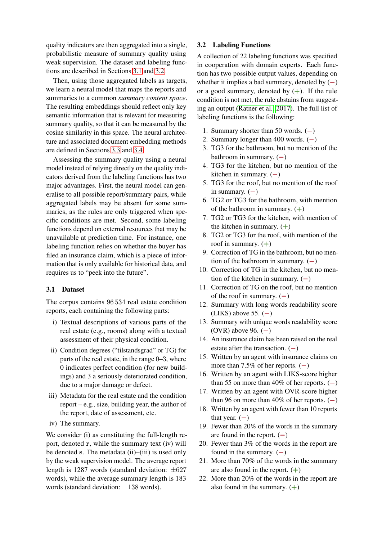quality indicators are then aggregated into a single, probabilistic measure of summary quality using weak supervision. The dataset and labeling functions are described in Sections [3.1](#page-3-0) and [3.2.](#page-3-1)

Then, using those aggregated labels as targets, we learn a neural model that maps the reports and summaries to a common *summary content space*. The resulting embeddings should reflect only key semantic information that is relevant for measuring summary quality, so that it can be measured by the cosine similarity in this space. The neural architecture and associated document embedding methods are defined in Sections [3.3](#page-4-0) and [3.4.](#page-4-1)

Assessing the summary quality using a neural model instead of relying directly on the quality indicators derived from the labeling functions has two major advantages. First, the neural model can generalise to all possible report/summary pairs, while aggregated labels may be absent for some summaries, as the rules are only triggered when specific conditions are met. Second, some labeling functions depend on external resources that may be unavailable at prediction time. For instance, one labeling function relies on whether the buyer has filed an insurance claim, which is a piece of information that is only available for historical data, and requires us to "peek into the future".

# <span id="page-3-0"></span>3.1 Dataset

The corpus contains 96 534 real estate condition reports, each containing the following parts:

- i) Textual descriptions of various parts of the real estate (e.g., rooms) along with a textual assessment of their physical condition.
- ii) Condition degrees ("tilstandsgrad" or TG) for parts of the real estate, in the range 0–3, where 0 indicates perfect condition (for new buildings) and 3 a seriously deteriorated condition, due to a major damage or defect.
- iii) Metadata for the real estate and the condition report – e.g., size, building year, the author of the report, date of assessment, etc.
- iv) The summary.

We consider (i) as constituting the full-length report, denoted r, while the summary text (iv) will be denoted s. The metadata (ii)–(iii) is used only by the weak supervision model. The average report length is 1287 words (standard deviation: ±627 words), while the average summary length is 183 words (standard deviation: ±138 words).

# <span id="page-3-1"></span>3.2 Labeling Functions

A collection of 22 labeling functions was specified in cooperation with domain experts. Each function has two possible output values, depending on whether it implies a bad summary, denoted by  $(-)$ or a good summary, denoted by  $(+)$ . If the rule condition is not met, the rule abstains from suggesting an output [\(Ratner et al., 2017\)](#page-9-2). The full list of labeling functions is the following:

- 1. Summary shorter than 50 words. (−)
- 2. Summary longer than 400 words. (−)
- 3. TG3 for the bathroom, but no mention of the bathroom in summary.  $(-)$
- 4. TG3 for the kitchen, but no mention of the kitchen in summary.  $(-)$
- 5. TG3 for the roof, but no mention of the roof in summary.  $(-)$
- 6. TG2 or TG3 for the bathroom, with mention of the bathroom in summary.  $(+)$
- 7. TG2 or TG3 for the kitchen, with mention of the kitchen in summary.  $(+)$
- 8. TG2 or TG3 for the roof, with mention of the roof in summary.  $(+)$
- 9. Correction of TG in the bathroom, but no mention of the bathroom in summary.  $(-)$
- 10. Correction of TG in the kitchen, but no mention of the kitchen in summary.  $(-)$
- 11. Correction of TG on the roof, but no mention of the roof in summary.  $(-)$
- 12. Summary with long words readability score  $(LIKS)$  above 55.  $(-)$
- 13. Summary with unique words readability score (OVR) above 96.  $(-)$
- 14. An insurance claim has been raised on the real estate after the transaction.  $(-)$
- 15. Written by an agent with insurance claims on more than 7.5% of her reports.  $(-)$
- 16. Written by an agent with LIKS-score higher than 55 on more than 40% of her reports.  $(-)$
- 17. Written by an agent with OVR-score higher than 96 on more than 40% of her reports.  $(-)$
- 18. Written by an agent with fewer than 10 reports that year.  $(-)$
- 19. Fewer than 20% of the words in the summary are found in the report.  $(-)$
- 20. Fewer than 3% of the words in the report are found in the summary.  $(-)$
- 21. More than 70% of the words in the summary are also found in the report.  $(+)$
- 22. More than 20% of the words in the report are also found in the summary.  $(+)$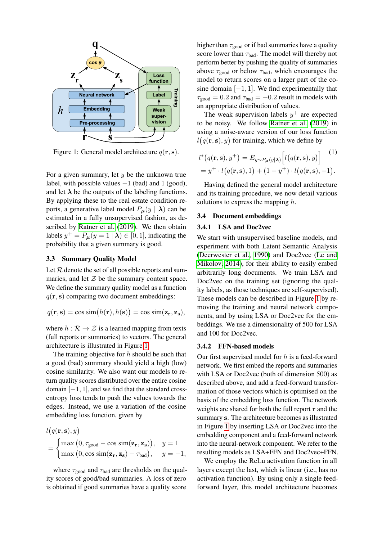<span id="page-4-2"></span>

Figure 1: General model architecture  $q(\mathbf{r}, \mathbf{s})$ .

For a given summary, let  $y$  be the unknown true label, with possible values  $-1$  (bad) and 1 (good), and let  $\lambda$  be the outputs of the labeling functions. By applying these to the real estate condition reports, a generative label model  $P_{\mu}(y | \lambda)$  can be estimated in a fully unsupervised fashion, as described by [Ratner et al.](#page-9-3) [\(2019\)](#page-9-3). We then obtain labels  $y^+ = P_{\mu}(y = 1 | \lambda) \in [0, 1]$ , indicating the probability that a given summary is good.

## <span id="page-4-0"></span>3.3 Summary Quality Model

Let  $R$  denote the set of all possible reports and summaries, and let  $Z$  be the summary content space. We define the summary quality model as a function  $q(\mathbf{r}, \mathbf{s})$  comparing two document embeddings:

$$
q(\mathbf{r}, \mathbf{s}) = \cos \sin(h(\mathbf{r}), h(\mathbf{s})) = \cos \sin(\mathbf{z}_\mathbf{r}, \mathbf{z}_\mathbf{s}),
$$

where  $h : \mathcal{R} \to \mathcal{Z}$  is a learned mapping from texts (full reports or summaries) to vectors. The general architecture is illustrated in Figure [1.](#page-4-2)

The training objective for  $h$  should be such that a good (bad) summary should yield a high (low) cosine similarity. We also want our models to return quality scores distributed over the entire cosine domain  $[-1, 1]$ , and we find that the standard crossentropy loss tends to push the values towards the edges. Instead, we use a variation of the cosine embedding loss function, given by

$$
l(q(\mathbf{r}, \mathbf{s}), y)
$$
  
= 
$$
\begin{cases} \max(0, \tau_{\text{good}} - \cos \sin(\mathbf{z}_{\mathbf{r}}, \mathbf{z}_{\mathbf{s}})), & y = 1\\ \max(0, \cos \sin(\mathbf{z}_{\mathbf{r}}, \mathbf{z}_{\mathbf{s}}) - \tau_{\text{bad}}), & y = -1, \end{cases}
$$

where  $\tau_{\text{good}}$  and  $\tau_{\text{bad}}$  are thresholds on the quality scores of good/bad summaries. A loss of zero is obtained if good summaries have a quality score higher than  $\tau_{\text{good}}$  or if bad summaries have a quality score lower than  $\tau_{bad}$ . The model will thereby not perform better by pushing the quality of summaries above  $\tau_{\text{good}}$  or below  $\tau_{\text{bad}}$ , which encourages the model to return scores on a larger part of the cosine domain  $[-1, 1]$ . We find experimentally that  $\tau_{\text{good}} = 0.2$  and  $\tau_{\text{bad}} = -0.2$  result in models with an appropriate distribution of values.

The weak supervision labels  $y^{+}$  are expected to be noisy. We follow [Ratner et al.](#page-9-3) [\(2019\)](#page-9-3) in using a noise-aware version of our loss function  $l(q(\mathbf{r}, \mathbf{s}), y)$  for training, which we define by

<span id="page-4-3"></span>
$$
l^*(q(\mathbf{r}, \mathbf{s}), y^+) = E_{y \sim P_{\boldsymbol{\mu}}(y|\boldsymbol{\lambda})} \left[ l(q(\mathbf{r}, \mathbf{s}), y) \right]^{(1)}
$$
  
=  $y^+ \cdot l(q(\mathbf{r}, \mathbf{s}), 1) + (1 - y^+) \cdot l(q(\mathbf{r}, \mathbf{s}), -1).$ 

Having defined the general model architecture and its training procedure, we now detail various solutions to express the mapping  $h$ .

## <span id="page-4-1"></span>3.4 Document embeddings

#### 3.4.1 LSA and Doc2vec

We start with unsupervised baseline models, and experiment with both Latent Semantic Analysis [\(Deerwester et al., 1990\)](#page-8-0) and Doc2vec [\(Le and](#page-9-4) [Mikolov, 2014\)](#page-9-4), for their ability to easily embed arbitrarily long documents. We train LSA and Doc2vec on the training set (ignoring the quality labels, as those techniques are self-supervised). These models can be described in Figure [1](#page-4-2) by removing the training and neural network components, and by using LSA or Doc2vec for the embeddings. We use a dimensionality of 500 for LSA and 100 for Doc2vec.

#### 3.4.2 FFN-based models

Our first supervised model for  $h$  is a feed-forward network. We first embed the reports and summaries with LSA or Doc2vec (both of dimension 500) as described above, and add a feed-forward transformation of those vectors which is optimised on the basis of the embedding loss function. The network weights are shared for both the full report r and the summary s. The architecture becomes as illustrated in Figure [1](#page-4-2) by inserting LSA or Doc2vec into the embedding component and a feed-forward network into the neural-network component. We refer to the resulting models as LSA+FFN and Doc2vec+FFN.

We employ the ReLu activation function in all layers except the last, which is linear (i.e., has no activation function). By using only a single feedforward layer, this model architecture becomes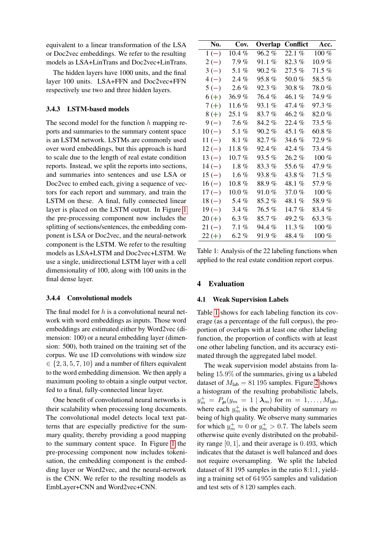equivalent to a linear transformation of the LSA or Doc2vec embeddings. We refer to the resulting models as LSA+LinTrans and Doc2vec+LinTrans.

The hidden layers have 1000 units, and the final layer 100 units. LSA+FFN and Doc2vec+FFN respectively use two and three hidden layers.

# 3.4.3 LSTM-based models

The second model for the function  $h$  mapping reports and summaries to the summary content space is an LSTM network. LSTMs are commonly used over word embeddings, but this approach is hard to scale due to the length of real estate condition reports. Instead, we split the reports into sections, and summaries into sentences and use LSA or Doc2vec to embed each, giving a sequence of vectors for each report and summary, and train the LSTM on these. A final, fully connected linear layer is placed on the LSTM output. In Figure [1](#page-4-2) the pre-processing component now includes the splitting of sections/sentences, the embedding component is LSA or Doc2vec, and the neural-network component is the LSTM. We refer to the resulting models as LSA+LSTM and Doc2vec+LSTM. We use a single, unidirectional LSTM layer with a cell dimensionality of 100, along with 100 units in the final dense layer.

#### 3.4.4 Convolutional models

The final model for  $h$  is a convolutional neural network with word embeddings as inputs. Those word embeddings are estimated either by Word2vec (dimension: 100) or a neural embedding layer (dimension: 500), both trained on the training set of the corpus. We use 1D convolutions with window size  $\in \{2, 3, 5, 7, 10\}$  and a number of filters equivalent to the word embedding dimension. We then apply a maximum pooling to obtain a single output vector, fed to a final, fully-connected linear layer.

One benefit of convolutional neural networks is their scalability when processing long documents. The convolutional model detects local text patterns that are especially predictive for the summary quality, thereby providing a good mapping to the summary content space. In Figure [1](#page-4-2) the pre-processing component now includes tokenisation, the embedding component is the embedding layer or Word2vec, and the neural-network is the CNN. We refer to the resulting models as EmbLayer+CNN and Word2vec+CNN.

<span id="page-5-1"></span>

| No.      | Cov.       | Overlap  | Conflict   | Acc.      |
|----------|------------|----------|------------|-----------|
| $1(-)$   | $10.4 \%$  | $96.2\%$ | 22.1%      | 100 %     |
| $2(-)$   | 7.9%       | $91.1\%$ | 82.3%      | $10.9 \%$ |
| $3(-)$   | 5.1 $%$    | $90.2\%$ | 27.5 %     | $71.5\%$  |
| $4(-)$   | 2.4%       | 95.8 %   | $50.0\ \%$ | 58.5%     |
| $5(-)$   | $2.6\%$    | $92.3\%$ | $30.8~\%$  | 78.0 %    |
| $6(+)$   | 36.9%      | 76.4 %   | 46.1 %     | 74.9 %    |
| $7 (+)$  | $11.6\,\%$ | 93.1 %   | 47.4 %     | 97.3 %    |
| $8 (+)$  | $25.1\%$   | 83.7 %   | 46.2 %     | 82.0%     |
| $9(-)$   | 7.6%       | 84.2 %   | 22.4 %     | 73.5%     |
| $10(-)$  | 5.1 $%$    | 90.2 %   | 45.1 %     | 60.8 $%$  |
| $11(-)$  | 8.1%       | 82.7%    | 34.6%      | 72.9 %    |
| $12(-)$  | $11.8\ \%$ | 92.4 %   | 42.4 %     | 73.4 %    |
| $13(-)$  | $10.7\,\%$ | 93.5 %   | $26.2\%$   | $100\%$   |
| $14(-)$  | $1.8\%$    | $83.3\%$ | 55.6 %     | 47.9 %    |
| $15(-)$  | $1.6\%$    | 93.8 %   | 43.8 %     | $71.5\%$  |
| $16(-)$  | $10.8\ \%$ | 88.9%    | 48.1 %     | 57.9%     |
| $17(-)$  | $10.0\ \%$ | 91.0 %   | 37.0 %     | $100\%$   |
| $18(-)$  | 5.4 %      | 85.2 %   | 48.1 %     | 58.9 %    |
| $19(-)$  | $3.4\%$    | 76.5%    | 14.7%      | 83.4 %    |
| $20 (+)$ | $6.3\%$    | 85.7 %   | 49.2 %     | 63.3 $%$  |
| $21(-)$  | 7.1%       | 94.4 %   | 11.3%      | $100\%$   |
| $22 (+)$ | $6.2~\%$   | 91.9 %   | 48.4 %     | $100\%$   |

Table 1: Analysis of the 22 labeling functions when applied to the real estate condition report corpus.

# <span id="page-5-0"></span>4 Evaluation

#### 4.1 Weak Supervision Labels

Table [1](#page-5-1) shows for each labeling function its coverage (as a percentage of the full corpus), the proportion of overlaps with at least one other labeling function, the proportion of conflicts with at least one other labeling function, and its accuracy estimated through the aggregated label model.

The weak supervision model abstains from labeling 15.9% of the summaries, giving us a labeled dataset of  $M_{\text{lab}} = 81\,195$  samples. Figure [2](#page-6-0) shows a histogram of the resulting probabilistic labels,  $y_m^+ = P_\mu(y_m = 1 | \lambda_m) \text{ for } m = 1, \dots, M_{\text{lab}},$ where each  $y_m^+$  is the probability of summary m being of high quality. We observe many summaries for which  $y_m^+ \approx 0$  or  $y_m^+ > 0.7$ . The labels seem otherwise quite evenly distributed on the probability range [0, 1], and their average is 0.493, which indicates that the dataset is well balanced and does not require oversampling. We split the labeled dataset of 81 195 samples in the ratio 8:1:1, yielding a training set of 64 955 samples and validation and test sets of 8 120 samples each.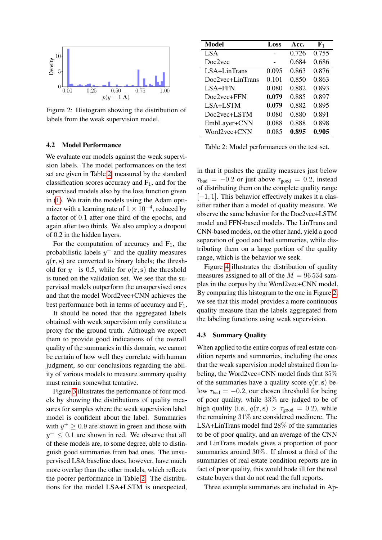<span id="page-6-0"></span>

Figure 2: Histogram showing the distribution of labels from the weak supervision model.

#### 4.2 Model Performance

We evaluate our models against the weak supervision labels. The model performances on the test set are given in Table [2,](#page-6-1) measured by the standard classification scores accuracy and  $F_1$ , and for the supervised models also by the loss function given in [\(1\)](#page-4-3). We train the models using the Adam optimizer with a learning rate of  $1 \times 10^{-4}$ , reduced by a factor of 0.1 after one third of the epochs, and again after two thirds. We also employ a dropout of 0.2 in the hidden layers.

For the computation of accuracy and  $F_1$ , the probabilistic labels  $y^{+}$  and the quality measures  $q(\mathbf{r}, \mathbf{s})$  are converted to binary labels; the threshold for  $y^+$  is 0.5, while for  $q(\mathbf{r}, \mathbf{s})$  the threshold is tuned on the validation set. We see that the supervised models outperform the unsupervised ones and that the model Word2vec+CNN achieves the best performance both in terms of accuracy and  $F_1$ .

It should be noted that the aggregated labels obtained with weak supervision only constitute a proxy for the ground truth. Although we expect them to provide good indications of the overall quality of the summaries in this domain, we cannot be certain of how well they correlate with human judgment, so our conclusions regarding the ability of various models to measure summary quality must remain somewhat tentative.

Figure [3](#page-7-0) illustrates the performance of four models by showing the distributions of quality measures for samples where the weak supervision label model is confident about the label. Summaries with  $y^+ \ge 0.9$  are shown in green and those with  $y^+ \leq 0.1$  are shown in red. We observe that all of these models are, to some degree, able to distinguish good summaries from bad ones. The unsupervised LSA baseline does, however, have much more overlap than the other models, which reflects the poorer performance in Table [2.](#page-6-1) The distributions for the model LSA+LSTM is unexpected,

<span id="page-6-1"></span>

| Model            | Loss  | Acc.  | ${\bf F}_1$ |
|------------------|-------|-------|-------------|
| <b>LSA</b>       |       | 0.726 | 0.755       |
| Doc2vec          |       | 0.684 | 0.686       |
| $LSA+LinTrans$   | 0.095 | 0.863 | 0.876       |
| Doc2vec+LinTrans | 0.101 | 0.850 | 0.863       |
| LSA+FFN          | 0.080 | 0.882 | 0.893       |
| Doc2vec+FFN      | 0.079 | 0.885 | 0.897       |
| LSA+LSTM         | 0.079 | 0.882 | 0.895       |
| Doc2vec+LSTM     | 0.080 | 0.880 | 0.891       |
| EmbLayer+CNN     | 0.088 | 0.888 | 0.898       |
| Word2yec+CNN     | 0.085 | 0.895 | 0.905       |

Table 2: Model performances on the test set.

in that it pushes the quality measures just below  $\tau_{bad} = -0.2$  or just above  $\tau_{good} = 0.2$ , instead of distributing them on the complete quality range  $[-1, 1]$ . This behavior effectively makes it a classifier rather than a model of quality measure. We observe the same behavior for the Doc2vec+LSTM model and FFN-based models. The LinTrans and CNN-based models, on the other hand, yield a good separation of good and bad summaries, while distributing them on a large portion of the quality range, which is the behavior we seek.

Figure [4](#page-7-1) illustrates the distribution of quality measures assigned to all of the  $M = 96534$  samples in the corpus by the Word2vec+CNN model. By comparing this histogram to the one in Figure [2,](#page-6-0) we see that this model provides a more continuous quality measure than the labels aggregated from the labeling functions using weak supervision.

## 4.3 Summary Quality

When applied to the entire corpus of real estate condition reports and summaries, including the ones that the weak supervision model abstained from labeling, the Word2vec+CNN model finds that 35% of the summaries have a quality score  $q(\mathbf{r}, \mathbf{s})$  below  $\tau_{\text{bad}} = -0.2$ , our chosen threshold for being of poor quality, while 33% are judged to be of high quality (i.e.,  $q(\mathbf{r}, \mathbf{s}) > \tau_{\text{good}} = 0.2$ ), while the remaining 31% are considered mediocre. The LSA+LinTrans model find 28% of the summaries to be of poor quality, and an average of the CNN and LinTrans models gives a proportion of poor summaries around 30%. If almost a third of the summaries of real estate condition reports are in fact of poor quality, this would bode ill for the real estate buyers that do not read the full reports.

Three example summaries are included in Ap-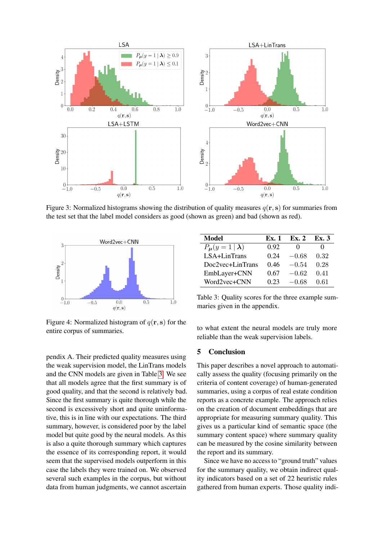<span id="page-7-0"></span>

Figure 3: Normalized histograms showing the distribution of quality measures  $q(\mathbf{r}, \mathbf{s})$  for summaries from the test set that the label model considers as good (shown as green) and bad (shown as red).

<span id="page-7-1"></span>

Figure 4: Normalized histogram of  $q(\mathbf{r}, \mathbf{s})$  for the entire corpus of summaries.

pendix A. Their predicted quality measures using the weak supervision model, the LinTrans models and the CNN models are given in Table [3.](#page-7-2) We see that all models agree that the first summary is of good quality, and that the second is relatively bad. Since the first summary is quite thorough while the second is excessively short and quite uninformative, this is in line with our expectations. The third summary, however, is considered poor by the label model but quite good by the neural models. As this is also a quite thorough summary which captures the essence of its corresponding report, it would seem that the supervised models outperform in this case the labels they were trained on. We observed several such examples in the corpus, but without data from human judgments, we cannot ascertain

<span id="page-7-2"></span>

| Model                  | Ex. 1 | Ex. 2        | Ex. 3 |
|------------------------|-------|--------------|-------|
| $P_{\mu}(y=1 \lambda)$ | 0.92  | $\mathbf{0}$ |       |
| LSA+LinTrans           | 0.24  | $-0.68$      | 0.32  |
| Doc2vec+LinTrans       | 0.46  | $-0.54$      | 0.28  |
| EmbLayer+CNN           | 0.67  | $-0.62$      | 0.41  |
| Word2vec+CNN           | 0.23  | $-0.68$      | 0.61  |

Table 3: Quality scores for the three example summaries given in the appendix.

to what extent the neural models are truly more reliable than the weak supervision labels.

# 5 Conclusion

This paper describes a novel approach to automatically assess the quality (focusing primarily on the criteria of content coverage) of human-generated summaries, using a corpus of real estate condition reports as a concrete example. The approach relies on the creation of document embeddings that are appropriate for measuring summary quality. This gives us a particular kind of semantic space (the summary content space) where summary quality can be measured by the cosine similarity between the report and its summary.

Since we have no access to "ground truth" values for the summary quality, we obtain indirect quality indicators based on a set of 22 heuristic rules gathered from human experts. Those quality indi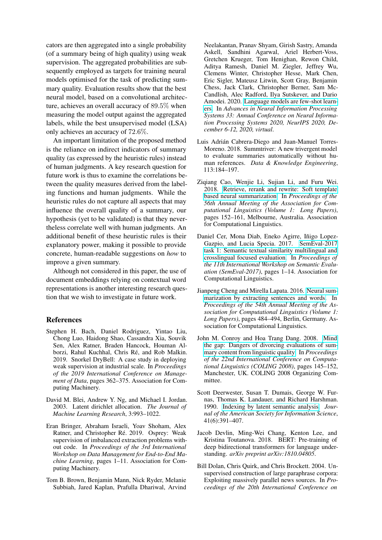cators are then aggregated into a single probability (of a summary being of high quality) using weak supervision. The aggregated probabilities are subsequently employed as targets for training neural models optimised for the task of predicting summary quality. Evaluation results show that the best neural model, based on a convolutional architecture, achieves an overall accuracy of 89.5% when measuring the model output against the aggregated labels, while the best unsupervised model (LSA) only achieves an accuracy of 72.6%.

An important limitation of the proposed method is the reliance on indirect indicators of summary quality (as expressed by the heuristic rules) instead of human judgments. A key research question for future work is thus to examine the correlations between the quality measures derived from the labeling functions and human judgments. While the heuristic rules do not capture all aspects that may influence the overall quality of a summary, our hypothesis (yet to be validated) is that they nevertheless correlate well with human judgments. An additional benefit of these heuristic rules is their explanatory power, making it possible to provide concrete, human-readable suggestions on *how* to improve a given summary.

Although not considered in this paper, the use of document embeddings relying on contextual word representations is another interesting research question that we wish to investigate in future work.

# References

- <span id="page-8-10"></span>Stephen H. Bach, Daniel Rodriguez, Yintao Liu, Chong Luo, Haidong Shao, Cassandra Xia, Souvik Sen, Alex Ratner, Braden Hancock, Houman Alborzi, Rahul Kuchhal, Chris Ré, and Rob Malkin. 2019. Snorkel DryBell: A case study in deploying weak supervision at industrial scale. In *Proceedings of the 2019 International Conference on Management of Data*, pages 362–375. Association for Computing Machinery.
- <span id="page-8-7"></span>David M. Blei, Andrew Y. Ng, and Michael I. Jordan. 2003. Latent dirichlet allocation. *The Journal of Machine Learning Research*, 3:993–1022.
- <span id="page-8-11"></span>Eran Bringer, Abraham Israeli, Yoav Shoham, Alex Ratner, and Christopher Ré. 2019. Osprey: Weak supervision of imbalanced extraction problems without code. In *Proceedings of the 3rd International Workshop on Data Management for End-to-End Machine Learning*, pages 1–11. Association for Computing Machinery.
- <span id="page-8-9"></span>Tom B. Brown, Benjamin Mann, Nick Ryder, Melanie Subbiah, Jared Kaplan, Prafulla Dhariwal, Arvind

Neelakantan, Pranav Shyam, Girish Sastry, Amanda Askell, Sandhini Agarwal, Ariel Herbert-Voss, Gretchen Krueger, Tom Henighan, Rewon Child, Aditya Ramesh, Daniel M. Ziegler, Jeffrey Wu, Clemens Winter, Christopher Hesse, Mark Chen, Eric Sigler, Mateusz Litwin, Scott Gray, Benjamin Chess, Jack Clark, Christopher Berner, Sam Mc-Candlish, Alec Radford, Ilya Sutskever, and Dario Amodei. 2020. [Language models are few-shot learn](https://proceedings.neurips.cc/paper/2020/hash/1457c0d6bfcb4967418bfb8ac142f64a-Abstract.html)[ers.](https://proceedings.neurips.cc/paper/2020/hash/1457c0d6bfcb4967418bfb8ac142f64a-Abstract.html) In *Advances in Neural Information Processing Systems 33: Annual Conference on Neural Information Processing Systems 2020, NeurIPS 2020, December 6-12, 2020, virtual*.

- <span id="page-8-3"></span>Luis Adrián Cabrera-Diego and Juan-Manuel Torres-Moreno. 2018. Summtriver: A new trivergent model to evaluate summaries automatically without human references. *Data & Knowledge Engineering*, 113:184–197.
- <span id="page-8-2"></span>Ziqiang Cao, Wenjie Li, Sujian Li, and Furu Wei. 2018. [Retrieve, rerank and rewrite: Soft template](https://doi.org/10.18653/v1/P18-1015) [based neural summarization.](https://doi.org/10.18653/v1/P18-1015) In *Proceedings of the 56th Annual Meeting of the Association for Computational Linguistics (Volume 1: Long Papers)*, pages 152–161, Melbourne, Australia. Association for Computational Linguistics.
- <span id="page-8-6"></span>Daniel Cer, Mona Diab, Eneko Agirre, Iñigo Lopez-Gazpio, and Lucia Specia. 2017. [SemEval-2017](https://doi.org/10.18653/v1/S17-2001) [task 1: Semantic textual similarity multilingual and](https://doi.org/10.18653/v1/S17-2001) [crosslingual focused evaluation.](https://doi.org/10.18653/v1/S17-2001) In *Proceedings of the 11th International Workshop on Semantic Evaluation (SemEval-2017)*, pages 1–14. Association for Computational Linguistics.
- <span id="page-8-1"></span>Jianpeng Cheng and Mirella Lapata. 2016. [Neural sum](https://doi.org/10.18653/v1/P16-1046)[marization by extracting sentences and words.](https://doi.org/10.18653/v1/P16-1046) In *Proceedings of the 54th Annual Meeting of the Association for Computational Linguistics (Volume 1: Long Papers)*, pages 484–494, Berlin, Germany. Association for Computational Linguistics.
- <span id="page-8-4"></span>John M. Conroy and Hoa Trang Dang. 2008. [Mind](https://www.aclweb.org/anthology/C08-1019) [the gap: Dangers of divorcing evaluations of sum](https://www.aclweb.org/anthology/C08-1019)[mary content from linguistic quality.](https://www.aclweb.org/anthology/C08-1019) In *Proceedings of the 22nd International Conference on Computational Linguistics (COLING 2008)*, pages 145–152, Manchester, UK. COLING 2008 Organizing Committee.
- <span id="page-8-0"></span>Scott Deerwester, Susan T. Dumais, George W. Furnas, Thomas K. Landauer, and Richard Harshman. 1990. [Indexing by latent semantic analysis.](https://doi.org/10.1002/(SICI)1097-4571(199009)41:6<391::AID-ASI1>3.0.CO;2-9) *Journal of the American Society for Information Science*, 41(6):391–407.
- <span id="page-8-8"></span>Jacob Devlin, Ming-Wei Chang, Kenton Lee, and Kristina Toutanova. 2018. BERT: Pre-training of deep bidirectional transformers for language understanding. *arXiv preprint arXiv:1810.04805*.
- <span id="page-8-5"></span>Bill Dolan, Chris Quirk, and Chris Brockett. 2004. Unsupervised construction of large paraphrase corpora: Exploiting massively parallel news sources. In *Proceedings of the 20th International Conference on*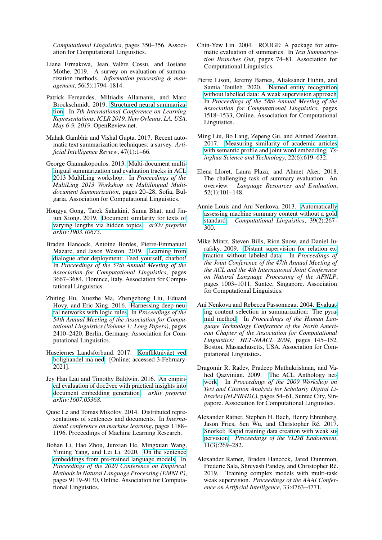*Computational Linguistics*, pages 350–356. Association for Computational Linguistics.

- <span id="page-9-7"></span>Liana Ermakova, Jean Valère Cossu, and Josiane Mothe. 2019. A survey on evaluation of summarization methods. *Information processing & management*, 56(5):1794–1814.
- <span id="page-9-6"></span>Patrick Fernandes, Miltiadis Allamanis, and Marc Brockschmidt. 2019. [Structured neural summariza](https://openreview.net/forum?id=H1ersoRqtm)[tion.](https://openreview.net/forum?id=H1ersoRqtm) In *7th International Conference on Learning Representations, ICLR 2019, New Orleans, LA, USA, May 6-9, 2019*. OpenReview.net.
- <span id="page-9-5"></span>Mahak Gambhir and Vishal Gupta. 2017. Recent automatic text summarization techniques: a survey. *Artificial Intelligence Review*, 47(1):1–66.
- <span id="page-9-10"></span>George Giannakopoulos. 2013. [Multi-document multi](https://www.aclweb.org/anthology/W13-3103)[lingual summarization and evaluation tracks in ACL](https://www.aclweb.org/anthology/W13-3103) [2013 MultiLing workshop.](https://www.aclweb.org/anthology/W13-3103) In *Proceedings of the MultiLing 2013 Workshop on Multilingual Multidocument Summarization*, pages 20–28, Sofia, Bulgaria. Association for Computational Linguistics.
- <span id="page-9-14"></span>Hongyu Gong, Tarek Sakakini, Suma Bhat, and Jinjun Xiong. 2019. [Document similarity for texts of](http://arxiv.org/abs/1903.10675) [varying lengths via hidden topics.](http://arxiv.org/abs/1903.10675) *arXiv preprint arXiv:1903.10675*.
- <span id="page-9-19"></span>Braden Hancock, Antoine Bordes, Pierre-Emmanuel Mazare, and Jason Weston. 2019. [Learning from](https://doi.org/10.18653/v1/P19-1358) [dialogue after deployment: Feed yourself, chatbot!](https://doi.org/10.18653/v1/P19-1358) In *Proceedings of the 57th Annual Meeting of the Association for Computational Linguistics*, pages 3667–3684, Florence, Italy. Association for Computational Linguistics.
- <span id="page-9-17"></span>Zhiting Hu, Xuezhe Ma, Zhengzhong Liu, Eduard Hovy, and Eric Xing. 2016. [Harnessing deep neu](https://doi.org/10.18653/v1/P16-1228)[ral networks with logic rules.](https://doi.org/10.18653/v1/P16-1228) In *Proceedings of the 54th Annual Meeting of the Association for Computational Linguistics (Volume 1: Long Papers)*, pages 2410–2420, Berlin, Germany. Association for Computational Linguistics.
- <span id="page-9-0"></span>Huseiernes Landsforbund. 2017. Konfliktnivået ved bolighandel må ned. [Online; accessed 3-February-2021].
- <span id="page-9-15"></span>Jey Han Lau and Timothy Baldwin. 2016. [An empiri](http://arxiv.org/abs/1607.05368)[cal evaluation of doc2vec with practical insights into](http://arxiv.org/abs/1607.05368) [document embedding generation.](http://arxiv.org/abs/1607.05368) *arXiv preprint arXiv:1607.05368*.
- <span id="page-9-4"></span>Quoc Le and Tomas Mikolov. 2014. Distributed representations of sentences and documents. In *International conference on machine learning*, pages 1188– 1196. Proceedings of Machine Learning Research.
- <span id="page-9-16"></span>Bohan Li, Hao Zhou, Junxian He, Mingxuan Wang, Yiming Yang, and Lei Li. 2020. [On the sentence](https://doi.org/10.18653/v1/2020.emnlp-main.733) [embeddings from pre-trained language models.](https://doi.org/10.18653/v1/2020.emnlp-main.733) In *Proceedings of the 2020 Conference on Empirical Methods in Natural Language Processing (EMNLP)*, pages 9119–9130, Online. Association for Computational Linguistics.
- <span id="page-9-9"></span>Chin-Yew Lin. 2004. ROUGE: A package for automatic evaluation of summaries. In *Text Summarization Branches Out*, pages 74–81. Association for Computational Linguistics.
- <span id="page-9-20"></span>Pierre Lison, Jeremy Barnes, Aliaksandr Hubin, and Samia Touileb. 2020. [Named entity recognition](https://doi.org/10.18653/v1/2020.acl-main.139) [without labelled data: A weak supervision approach.](https://doi.org/10.18653/v1/2020.acl-main.139) In *Proceedings of the 58th Annual Meeting of the Association for Computational Linguistics*, pages 1518–1533, Online. Association for Computational Linguistics.
- <span id="page-9-13"></span>Ming Liu, Bo Lang, Zepeng Gu, and Ahmed Zeeshan. 2017. [Measuring similarity of academic articles](https://doi.org/10.23919/TST.2017.8195345) [with semantic profile and joint word embedding.](https://doi.org/10.23919/TST.2017.8195345) *Tsinghua Science and Technology*, 22(6):619–632.
- <span id="page-9-1"></span>Elena Lloret, Laura Plaza, and Ahmet Aker. 2018. The challenging task of summary evaluation: An overview. *Language Resources and Evaluation*, 52(1):101–148.
- <span id="page-9-11"></span>Annie Louis and Ani Nenkova. 2013. [Automatically](https://doi.org/10.1162/COLI_a_00123) [assessing machine summary content without a gold](https://doi.org/10.1162/COLI_a_00123) [standard.](https://doi.org/10.1162/COLI_a_00123) *Computational Linguistics*, 39(2):267– 300.
- <span id="page-9-18"></span>Mike Mintz, Steven Bills, Rion Snow, and Daniel Jurafsky. 2009. [Distant supervision for relation ex](https://www.aclweb.org/anthology/P09-1113)[traction without labeled data.](https://www.aclweb.org/anthology/P09-1113) In *Proceedings of the Joint Conference of the 47th Annual Meeting of the ACL and the 4th International Joint Conference on Natural Language Processing of the AFNLP*, pages 1003–1011, Suntec, Singapore. Association for Computational Linguistics.
- <span id="page-9-8"></span>Ani Nenkova and Rebecca Passonneau. 2004. [Evaluat](https://www.aclweb.org/anthology/N04-1019)[ing content selection in summarization: The pyra](https://www.aclweb.org/anthology/N04-1019)[mid method.](https://www.aclweb.org/anthology/N04-1019) In *Proceedings of the Human Language Technology Conference of the North American Chapter of the Association for Computational Linguistics: HLT-NAACL 2004*, pages 145–152, Boston, Massachusetts, USA. Association for Computational Linguistics.
- <span id="page-9-12"></span>Dragomir R. Radev, Pradeep Muthukrishnan, and Vahed Qazvinian. 2009. [The ACL Anthology net](https://www.aclweb.org/anthology/W09-3607)[work.](https://www.aclweb.org/anthology/W09-3607) In *Proceedings of the 2009 Workshop on Text and Citation Analysis for Scholarly Digital Libraries (NLPIR4DL)*, pages 54–61, Suntec City, Singapore. Association for Computational Linguistics.
- <span id="page-9-2"></span>Alexander Ratner, Stephen H. Bach, Henry Ehrenberg, Jason Fries, Sen Wu, and Christopher Ré. 2017. [Snorkel: Rapid training data creation with weak su](https://doi.org/10.14778/3157794.3157797)[pervision.](https://doi.org/10.14778/3157794.3157797) *Proceedings of the VLDB Endowment*, 11(3):269–282.
- <span id="page-9-3"></span>Alexander Ratner, Braden Hancock, Jared Dunnmon, Frederic Sala, Shreyash Pandey, and Christopher Re.´ 2019. Training complex models with multi-task weak supervision. *Proceedings of the AAAI Conference on Artificial Intelligence*, 33:4763–4771.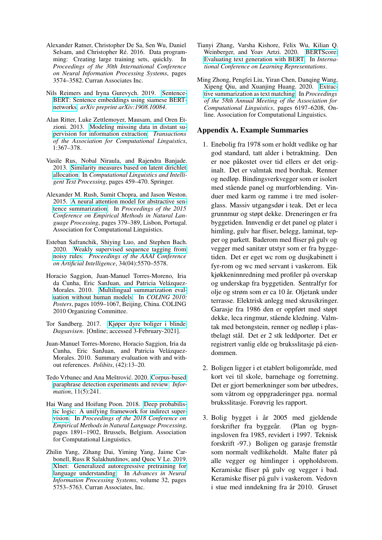- <span id="page-10-12"></span>Alexander Ratner, Christopher De Sa, Sen Wu, Daniel Selsam, and Christopher Ré. 2016. Data programming: Creating large training sets, quickly. In *Proceedings of the 30th International Conference on Neural Information Processing Systems*, pages 3574–3582. Curran Associates Inc.
- <span id="page-10-8"></span>Nils Reimers and Iryna Gurevych. 2019. [Sentence-](http://arxiv.org/abs/1908.10084)[BERT: Sentence embeddings using siamese BERT](http://arxiv.org/abs/1908.10084)[networks.](http://arxiv.org/abs/1908.10084) *arXiv preprint arXiv:1908.10084*.
- <span id="page-10-11"></span>Alan Ritter, Luke Zettlemoyer, Mausam, and Oren Etzioni. 2013. [Modeling missing data in distant su](https://doi.org/10.1162/tacl_a_00234)[pervision for information extraction.](https://doi.org/10.1162/tacl_a_00234) *Transactions of the Association for Computational Linguistics*, 1:367–378.
- <span id="page-10-5"></span>Vasile Rus, Nobal Niraula, and Rajendra Banjade. 2013. [Similarity measures based on latent dirichlet](https://doi.org/10.1007/978-3-642-37247-6_37) [allocation.](https://doi.org/10.1007/978-3-642-37247-6_37) In *Computational Linguistics and Intelligent Text Processing*, pages 459–470. Springer.
- <span id="page-10-1"></span>Alexander M. Rush, Sumit Chopra, and Jason Weston. 2015. [A neural attention model for abstractive sen](https://doi.org/10.18653/v1/D15-1044)[tence summarization.](https://doi.org/10.18653/v1/D15-1044) In *Proceedings of the 2015 Conference on Empirical Methods in Natural Language Processing*, pages 379–389, Lisbon, Portugal. Association for Computational Linguistics.
- <span id="page-10-13"></span>Esteban Safranchik, Shiying Luo, and Stephen Bach. 2020. [Weakly supervised sequence tagging from](https://doi.org/10.1609/aaai.v34i04.6009) [noisy rules.](https://doi.org/10.1609/aaai.v34i04.6009) *Proceedings of the AAAI Conference on Artificial Intelligence*, 34(04):5570–5578.
- <span id="page-10-2"></span>Horacio Saggion, Juan-Manuel Torres-Moreno, Iria da Cunha, Eric SanJuan, and Patricia Velázquez-Morales. 2010. [Multilingual summarization eval](https://www.aclweb.org/anthology/C10-2122)[uation without human models.](https://www.aclweb.org/anthology/C10-2122) In *COLING 2010: Posters*, pages 1059–1067, Beijing, China. COLING 2010 Organizing Committee.
- <span id="page-10-0"></span>Tor Sandberg. 2017. [Kjøper dyre boliger i blinde.](https://www.dagsavisen.no/nyheter/innenriks/kjoper-dyre-boliger-i-blinde-1.980169) *Dagsavisen*. [Online; accessed 3-February-2021].
- <span id="page-10-4"></span>Juan-Manuel Torres-Moreno, Horacio Saggion, Iria da Cunha, Eric SanJuan, and Patricia Velázquez-Morales. 2010. Summary evaluation with and without references. *Polibits*, (42):13–20.
- <span id="page-10-6"></span>Tedo Vrbanec and Ana Meštrović. 2020. [Corpus-based](https://doi.org/10.3390/info11050241) [paraphrase detection experiments and review.](https://doi.org/10.3390/info11050241) *Information*, 11(5):241.
- <span id="page-10-10"></span>Hai Wang and Hoifung Poon. 2018. [Deep probabilis](https://doi.org/10.18653/v1/D18-1215)[tic logic: A unifying framework for indirect super](https://doi.org/10.18653/v1/D18-1215)[vision.](https://doi.org/10.18653/v1/D18-1215) In *Proceedings of the 2018 Conference on Empirical Methods in Natural Language Processing*, pages 1891–1902, Brussels, Belgium. Association for Computational Linguistics.
- <span id="page-10-7"></span>Zhilin Yang, Zihang Dai, Yiming Yang, Jaime Carbonell, Russ R Salakhutdinov, and Quoc V Le. 2019. [Xlnet: Generalized autoregressive pretraining for](https://proceedings.neurips.cc/paper/2019/file/dc6a7e655d7e5840e66733e9ee67cc69-Paper.pdf) [language understanding.](https://proceedings.neurips.cc/paper/2019/file/dc6a7e655d7e5840e66733e9ee67cc69-Paper.pdf) In *Advances in Neural Information Processing Systems*, volume 32, pages 5753–5763. Curran Associates, Inc.
- <span id="page-10-3"></span>Tianyi Zhang, Varsha Kishore, Felix Wu, Kilian Q. Weinberger, and Yoav Artzi. 2020. [BERTScore:](https://iclr.cc/virtual/poster_SkeHuCVFDr.html) [Evaluating text generation with BERT.](https://iclr.cc/virtual/poster_SkeHuCVFDr.html) In *International Conference on Learning Representations*.
- <span id="page-10-9"></span>Ming Zhong, Pengfei Liu, Yiran Chen, Danqing Wang, Xipeng Qiu, and Xuanjing Huang. 2020. [Extrac](https://doi.org/10.18653/v1/2020.acl-main.552)[tive summarization as text matching.](https://doi.org/10.18653/v1/2020.acl-main.552) In *Proceedings of the 58th Annual Meeting of the Association for Computational Linguistics*, pages 6197–6208, Online. Association for Computational Linguistics.

# Appendix A. Example Summaries

- 1. Enebolig fra 1978 som er holdt vedlike og har god standard, tatt alder i betraktning. Den er noe påkostet over tid ellers er det originalt. Det er valmtak med bordtak. Renner og nedløp. Bindingsverkvegger som er isolert med stående panel og murforblending. Vinduer med karm og ramme i tre med isolerglass. Massiv utgangsdør i teak. Det er leca grunnmur og støpt dekke. Dreneringen er fra byggetiden. Innvendig er det panel og plater i himling, gulv har fliser, belegg, laminat, tepper og parkett. Baderom med fliser på gulv og vegger med sanitær utstyr som er fra byggetiden. Det er eget wc rom og dusjkabinett i fyr-rom og wc med servant i vaskerom. Eik kjøkkeninnredning med profiler på overskap og underskap fra byggetiden. Sentralfyr for olje og strøm som er ca 10 år. Oljetank under terrasse. Elektrisk anlegg med skrusikringer. Garasje fra 1986 den er oppført med støpt dekke, leca ringmur, stående kledning. Valmtak med betongstein, renner og nedløp i plastbelagt stål. Det er 2 stk leddporter. Det er registrert vanlig elde og bruksslitasje på eiendommen.
- 2. Boligen ligger i et etablert boligområde, med kort vei til skole, barnehage og forretning. Det er gjort bemerkninger som bør utbedres, som våtrom og oppgraderinger pga. normal bruksslitasje. Forøvrig les rapport.
- 3. Bolig bygget i år 2005 med gjeldende forskrifter fra byggeår. (Plan og bygningsloven fra 1985, revidert i 1997. Teknisk forskrift -97.) Boligen og garasje fremstår som normalt vedlikeholdt. Malte flater på alle vegger og himlinger i oppholdsrom. Keramiske fliser på gulv og vegger i bad. Keramiske fliser på gulv i vaskerom. Vedovn i stue med inndekning fra år 2010. Gruset